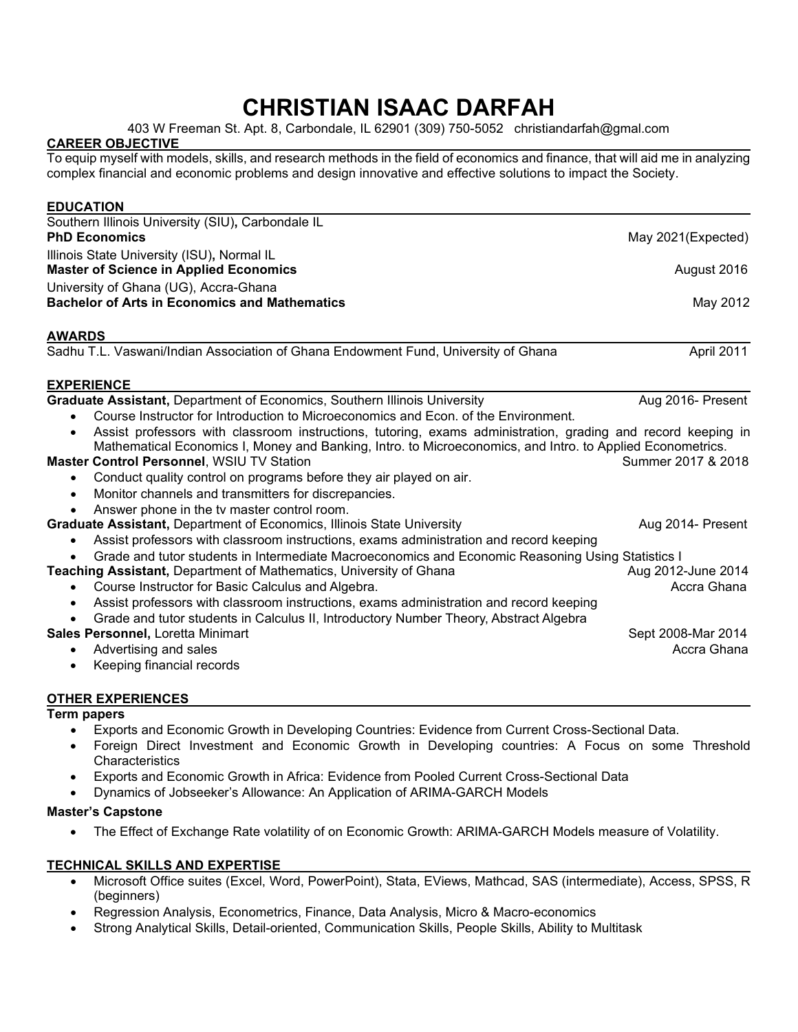# **CHRISTIAN ISAAC DARFAH**

403 W Freeman St. Apt. 8, Carbondale, IL 62901 (309) 750-5052 christiandarfah@gmal.com

## **CAREER OBJECTIVE**

To equip myself with models, skills, and research methods in the field of economics and finance, that will aid me in analyzing complex financial and economic problems and design innovative and effective solutions to impact the Society.

| <b>EDUCATION</b>                                                                                             |                    |
|--------------------------------------------------------------------------------------------------------------|--------------------|
| Southern Illinois University (SIU), Carbondale IL                                                            |                    |
| <b>PhD Economics</b>                                                                                         | May 2021(Expected) |
| Illinois State University (ISU), Normal IL                                                                   |                    |
| <b>Master of Science in Applied Economics</b>                                                                | August 2016        |
| University of Ghana (UG), Accra-Ghana                                                                        |                    |
| <b>Bachelor of Arts in Economics and Mathematics</b>                                                         | May 2012           |
| <b>AWARDS</b>                                                                                                |                    |
| Sadhu T.L. Vaswani/Indian Association of Ghana Endowment Fund, University of Ghana                           | April 2011         |
|                                                                                                              |                    |
| <b>EXPERIENCE</b>                                                                                            |                    |
| <b>Graduate Assistant, Department of Economics, Southern Illinois University</b>                             | Aug 2016- Present  |
| Course Instructor for Introduction to Microeconomics and Econ, of the Environment.                           |                    |
| Assist professors with classroom instructions, tutoring, exams administration, grading and record keeping in |                    |
| Mathematical Economics I, Money and Banking, Intro. to Microeconomics, and Intro. to Applied Econometrics.   |                    |
| <b>Master Control Personnel, WSIU TV Station</b>                                                             | Summer 2017 & 2018 |
| Conduct quality control on programs before they air played on air.                                           |                    |
| Monitor channels and transmitters for discrepancies.                                                         |                    |
| Answer phone in the tv master control room.                                                                  |                    |
| <b>Graduate Assistant, Department of Economics, Illinois State University</b>                                | Aug 2014- Present  |
| Assist professors with classroom instructions, exams administration and record keeping                       |                    |
| Grade and tutor students in Intermediate Macroeconomics and Economic Reasoning Using Statistics I            |                    |
| <b>Teaching Assistant, Department of Mathematics, University of Ghana</b>                                    | Aug 2012-June 2014 |
| Course Instructor for Basic Calculus and Algebra.<br>$\bullet$                                               | Accra Ghana        |
| Assist professors with classroom instructions, exams administration and record keeping                       |                    |
| Grade and tutor students in Calculus II, Introductory Number Theory, Abstract Algebra                        |                    |
| Sales Personnel, Loretta Minimart                                                                            | Sept 2008-Mar 2014 |
| Advertising and sales<br>٠                                                                                   | Accra Ghana        |
| Keeping financial records                                                                                    |                    |
|                                                                                                              |                    |

## **OTHER EXPERIENCES**

## **Term papers**

- Exports and Economic Growth in Developing Countries: Evidence from Current Cross-Sectional Data.
- Foreign Direct Investment and Economic Growth in Developing countries: A Focus on some Threshold **Characteristics**
- Exports and Economic Growth in Africa: Evidence from Pooled Current Cross-Sectional Data
- Dynamics of Jobseeker's Allowance: An Application of ARIMA-GARCH Models

#### **Master's Capstone**

• The Effect of Exchange Rate volatility of on Economic Growth: ARIMA-GARCH Models measure of Volatility.

## **TECHNICAL SKILLS AND EXPERTISE**

- Microsoft Office suites (Excel, Word, PowerPoint), Stata, EViews, Mathcad, SAS (intermediate), Access, SPSS, R (beginners)
- Regression Analysis, Econometrics, Finance, Data Analysis, Micro & Macro-economics
- Strong Analytical Skills, Detail-oriented, Communication Skills, People Skills, Ability to Multitask